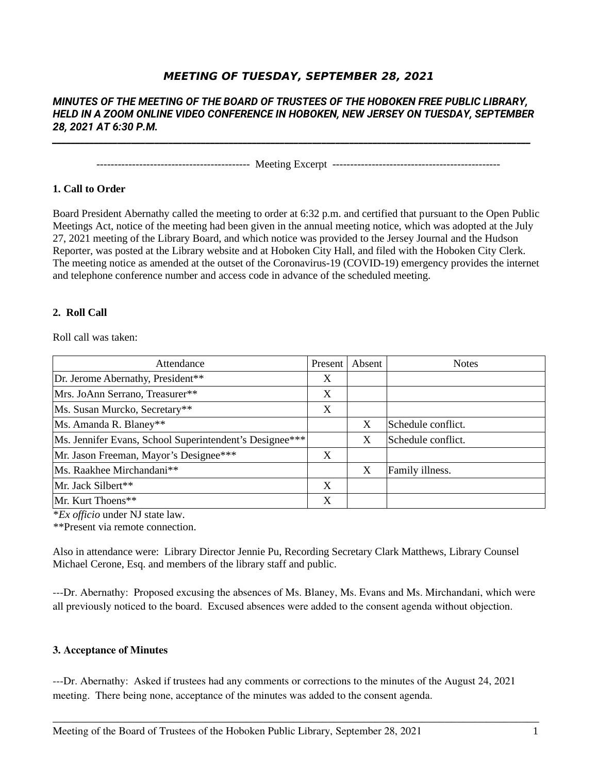# **MEETING OF TUESDAY, SEPTEMBER 28, 2021**

# *MINUTES OF THE MEETING OF THE BOARD OF TRUSTEES OF THE HOBOKEN FREE PUBLIC LIBRARY, HELD IN A ZOOM ONLINE VIDEO CONFERENCE IN HOBOKEN, NEW JERSEY ON TUESDAY, SEPTEMBER 28, 2021 AT 6:30 P.M.*

*\_\_\_\_\_\_\_\_\_\_\_\_\_\_\_\_\_\_\_\_\_\_\_\_\_\_\_\_\_\_\_\_\_\_\_\_\_\_\_\_\_\_\_\_\_\_\_\_\_\_\_\_\_\_\_\_\_\_\_\_\_\_\_\_\_\_\_\_\_\_\_\_\_\_\_\_\_\_\_\_\_\_\_\_\_\_\_\_\_\_\_\_\_\_\_\_\_\_\_\_\_\_\_*

------------------------------------------- Meeting Excerpt -----------------------------------------------

#### **1. Call to Order**

Board President Abernathy called the meeting to order at 6:32 p.m. and certified that pursuant to the Open Public Meetings Act, notice of the meeting had been given in the annual meeting notice, which was adopted at the July 27, 2021 meeting of the Library Board, and which notice was provided to the Jersey Journal and the Hudson Reporter, was posted at the Library website and at Hoboken City Hall, and filed with the Hoboken City Clerk. The meeting notice as amended at the outset of the Coronavirus-19 (COVID-19) emergency provides the internet and telephone conference number and access code in advance of the scheduled meeting.

#### **2. Roll Call**

Roll call was taken:

| Attendance                                              | Present | Absent | <b>Notes</b>       |
|---------------------------------------------------------|---------|--------|--------------------|
| Dr. Jerome Abernathy, President**                       | X       |        |                    |
| Mrs. JoAnn Serrano, Treasurer**                         | X       |        |                    |
| Ms. Susan Murcko, Secretary**                           | X       |        |                    |
| Ms. Amanda R. Blaney**                                  |         | X      | Schedule conflict. |
| Ms. Jennifer Evans, School Superintendent's Designee*** |         | X      | Schedule conflict. |
| Mr. Jason Freeman, Mayor's Designee***                  | X       |        |                    |
| Ms. Raakhee Mirchandani**                               |         | X      | Family illness.    |
| Mr. Jack Silbert**                                      | X       |        |                    |
| Mr. Kurt Thoens**                                       | X       |        |                    |

\**Ex officio* under NJ state law.

\*\*Present via remote connection.

Also in attendance were: Library Director Jennie Pu, Recording Secretary Clark Matthews, Library Counsel Michael Cerone, Esq. and members of the library staff and public.

---Dr. Abernathy: Proposed excusing the absences of Ms. Blaney, Ms. Evans and Ms. Mirchandani, which were all previously noticed to the board. Excused absences were added to the consent agenda without objection.

#### **3. Acceptance of Minutes**

---Dr. Abernathy: Asked if trustees had any comments or corrections to the minutes of the August 24, 2021 meeting. There being none, acceptance of the minutes was added to the consent agenda.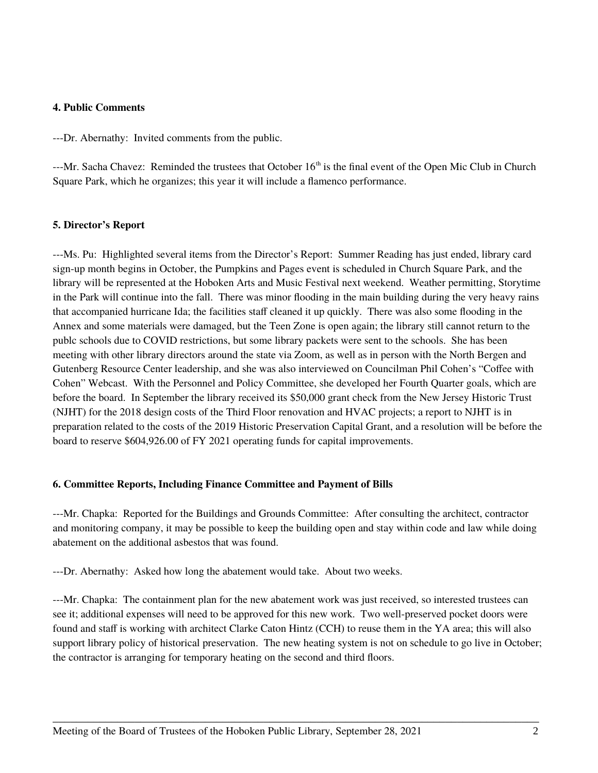#### **4. Public Comments**

---Dr. Abernathy: Invited comments from the public.

---Mr. Sacha Chavez: Reminded the trustees that October 16<sup>th</sup> is the final event of the Open Mic Club in Church Square Park, which he organizes; this year it will include a flamenco performance.

## **5. Director's Report**

---Ms. Pu: Highlighted several items from the Director's Report: Summer Reading has just ended, library card sign-up month begins in October, the Pumpkins and Pages event is scheduled in Church Square Park, and the library will be represented at the Hoboken Arts and Music Festival next weekend. Weather permitting, Storytime in the Park will continue into the fall. There was minor flooding in the main building during the very heavy rains that accompanied hurricane Ida; the facilities staff cleaned it up quickly. There was also some flooding in the Annex and some materials were damaged, but the Teen Zone is open again; the library still cannot return to the publc schools due to COVID restrictions, but some library packets were sent to the schools. She has been meeting with other library directors around the state via Zoom, as well as in person with the North Bergen and Gutenberg Resource Center leadership, and she was also interviewed on Councilman Phil Cohen's "Coffee with Cohen" Webcast. With the Personnel and Policy Committee, she developed her Fourth Quarter goals, which are before the board. In September the library received its \$50,000 grant check from the New Jersey Historic Trust (NJHT) for the 2018 design costs of the Third Floor renovation and HVAC projects; a report to NJHT is in preparation related to the costs of the 2019 Historic Preservation Capital Grant, and a resolution will be before the board to reserve \$604,926.00 of FY 2021 operating funds for capital improvements.

## **6. Committee Reports, Including Finance Committee and Payment of Bills**

---Mr. Chapka: Reported for the Buildings and Grounds Committee: After consulting the architect, contractor and monitoring company, it may be possible to keep the building open and stay within code and law while doing abatement on the additional asbestos that was found.

---Dr. Abernathy: Asked how long the abatement would take. About two weeks.

---Mr. Chapka: The containment plan for the new abatement work was just received, so interested trustees can see it; additional expenses will need to be approved for this new work. Two well-preserved pocket doors were found and staff is working with architect Clarke Caton Hintz (CCH) to reuse them in the YA area; this will also support library policy of historical preservation. The new heating system is not on schedule to go live in October; the contractor is arranging for temporary heating on the second and third floors.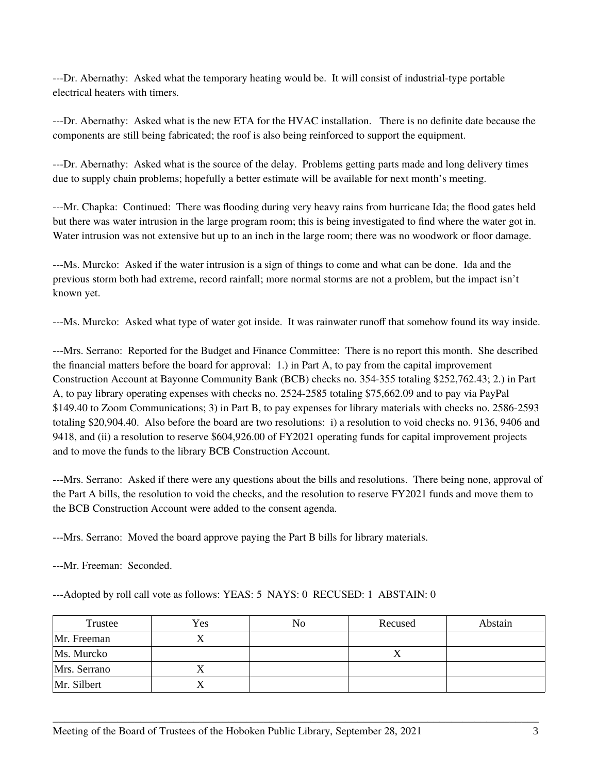---Dr. Abernathy: Asked what the temporary heating would be. It will consist of industrial-type portable electrical heaters with timers.

---Dr. Abernathy: Asked what is the new ETA for the HVAC installation. There is no definite date because the components are still being fabricated; the roof is also being reinforced to support the equipment.

---Dr. Abernathy: Asked what is the source of the delay. Problems getting parts made and long delivery times due to supply chain problems; hopefully a better estimate will be available for next month's meeting.

---Mr. Chapka: Continued: There was flooding during very heavy rains from hurricane Ida; the flood gates held but there was water intrusion in the large program room; this is being investigated to find where the water got in. Water intrusion was not extensive but up to an inch in the large room; there was no woodwork or floor damage.

---Ms. Murcko: Asked if the water intrusion is a sign of things to come and what can be done. Ida and the previous storm both had extreme, record rainfall; more normal storms are not a problem, but the impact isn't known yet.

---Ms. Murcko: Asked what type of water got inside. It was rainwater runoff that somehow found its way inside.

---Mrs. Serrano: Reported for the Budget and Finance Committee: There is no report this month. She described the financial matters before the board for approval: 1.) in Part A, to pay from the capital improvement Construction Account at Bayonne Community Bank (BCB) checks no. 354-355 totaling \$252,762.43; 2.) in Part A, to pay library operating expenses with checks no. 2524-2585 totaling \$75,662.09 and to pay via PayPal \$149.40 to Zoom Communications; 3) in Part B, to pay expenses for library materials with checks no. 2586-2593 totaling \$20,904.40. Also before the board are two resolutions: i) a resolution to void checks no. 9136, 9406 and 9418, and (ii) a resolution to reserve \$604,926.00 of FY2021 operating funds for capital improvement projects and to move the funds to the library BCB Construction Account.

---Mrs. Serrano: Asked if there were any questions about the bills and resolutions. There being none, approval of the Part A bills, the resolution to void the checks, and the resolution to reserve FY2021 funds and move them to the BCB Construction Account were added to the consent agenda.

---Mrs. Serrano: Moved the board approve paying the Part B bills for library materials.

---Mr. Freeman: Seconded.

---Adopted by roll call vote as follows: YEAS: 5 NAYS: 0 RECUSED: 1 ABSTAIN: 0

| Trustee      | Yes | No | Recused | Abstain |
|--------------|-----|----|---------|---------|
| Mr. Freeman  |     |    |         |         |
| Ms. Murcko   |     |    | △       |         |
| Mrs. Serrano |     |    |         |         |
| Mr. Silbert  |     |    |         |         |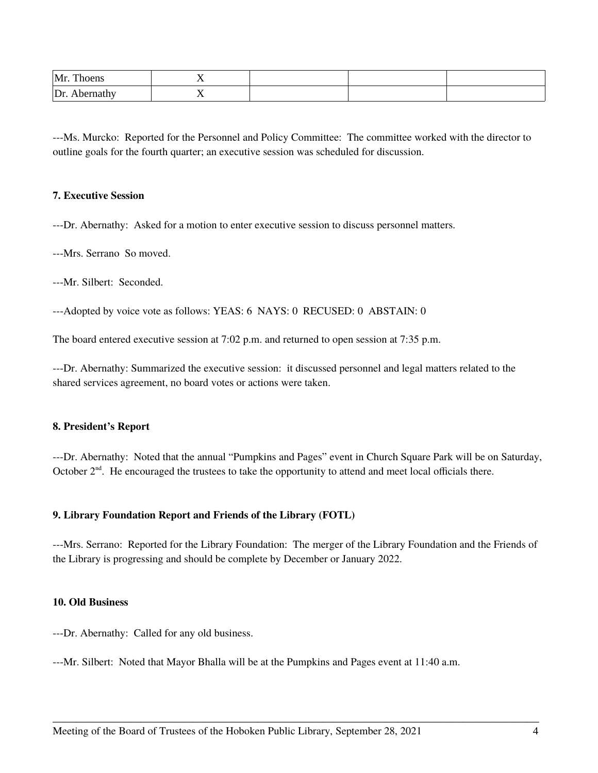| Mr.<br><b>COLUM</b><br>Thoens | - 12           |  |  |
|-------------------------------|----------------|--|--|
| $\mathsf{D}$ r                | $\overline{1}$ |  |  |

---Ms. Murcko: Reported for the Personnel and Policy Committee: The committee worked with the director to outline goals for the fourth quarter; an executive session was scheduled for discussion.

#### **7. Executive Session**

---Dr. Abernathy: Asked for a motion to enter executive session to discuss personnel matters.

---Mrs. Serrano So moved.

---Mr. Silbert: Seconded.

---Adopted by voice vote as follows: YEAS: 6 NAYS: 0 RECUSED: 0 ABSTAIN: 0

The board entered executive session at 7:02 p.m. and returned to open session at 7:35 p.m.

---Dr. Abernathy: Summarized the executive session: it discussed personnel and legal matters related to the shared services agreement, no board votes or actions were taken.

## **8. President's Report**

---Dr. Abernathy: Noted that the annual "Pumpkins and Pages" event in Church Square Park will be on Saturday, October  $2<sup>nd</sup>$ . He encouraged the trustees to take the opportunity to attend and meet local officials there.

## **9. Library Foundation Report and Friends of the Library (FOTL)**

---Mrs. Serrano: Reported for the Library Foundation: The merger of the Library Foundation and the Friends of the Library is progressing and should be complete by December or January 2022.

\_\_\_\_\_\_\_\_\_\_\_\_\_\_\_\_\_\_\_\_\_\_\_\_\_\_\_\_\_\_\_\_\_\_\_\_\_\_\_\_\_\_\_\_\_\_\_\_\_\_\_\_\_\_\_\_\_\_\_\_\_\_\_\_\_\_\_\_\_\_\_\_\_\_\_\_\_\_\_\_\_\_\_

#### **10. Old Business**

---Dr. Abernathy: Called for any old business.

---Mr. Silbert: Noted that Mayor Bhalla will be at the Pumpkins and Pages event at 11:40 a.m.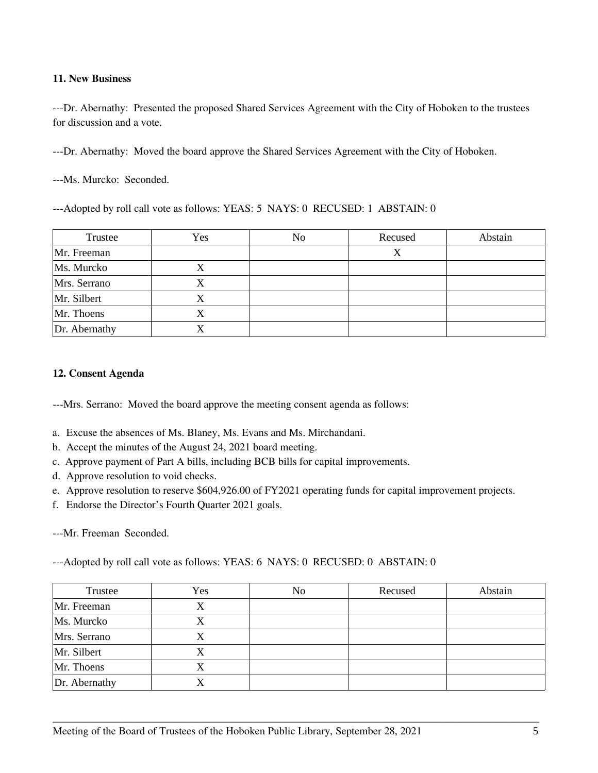# **11. New Business**

---Dr. Abernathy: Presented the proposed Shared Services Agreement with the City of Hoboken to the trustees for discussion and a vote.

---Dr. Abernathy: Moved the board approve the Shared Services Agreement with the City of Hoboken.

---Ms. Murcko: Seconded.

---Adopted by roll call vote as follows: YEAS: 5 NAYS: 0 RECUSED: 1 ABSTAIN: 0

| Trustee       | Yes | No | Recused | Abstain |
|---------------|-----|----|---------|---------|
| Mr. Freeman   |     |    | Х       |         |
| Ms. Murcko    | X   |    |         |         |
| Mrs. Serrano  | X   |    |         |         |
| Mr. Silbert   | X   |    |         |         |
| Mr. Thoens    | Х   |    |         |         |
| Dr. Abernathy | X   |    |         |         |

# **12. Consent Agenda**

---Mrs. Serrano: Moved the board approve the meeting consent agenda as follows:

- a. Excuse the absences of Ms. Blaney, Ms. Evans and Ms. Mirchandani.
- b. Accept the minutes of the August 24, 2021 board meeting.
- c. Approve payment of Part A bills, including BCB bills for capital improvements.
- d. Approve resolution to void checks.
- e. Approve resolution to reserve \$604,926.00 of FY2021 operating funds for capital improvement projects.
- f. Endorse the Director's Fourth Quarter 2021 goals.

---Mr. Freeman Seconded.

---Adopted by roll call vote as follows: YEAS: 6 NAYS: 0 RECUSED: 0 ABSTAIN: 0

| Trustee         | Yes | No | Recused | Abstain |
|-----------------|-----|----|---------|---------|
| Mr. Freeman     | Χ   |    |         |         |
| Ms. Murcko      | X   |    |         |         |
| Mrs. Serrano    | Χ   |    |         |         |
| Mr. Silbert     | Χ   |    |         |         |
| Mr. Thoens      | Χ   |    |         |         |
| $Dr.$ Abernathy | X   |    |         |         |